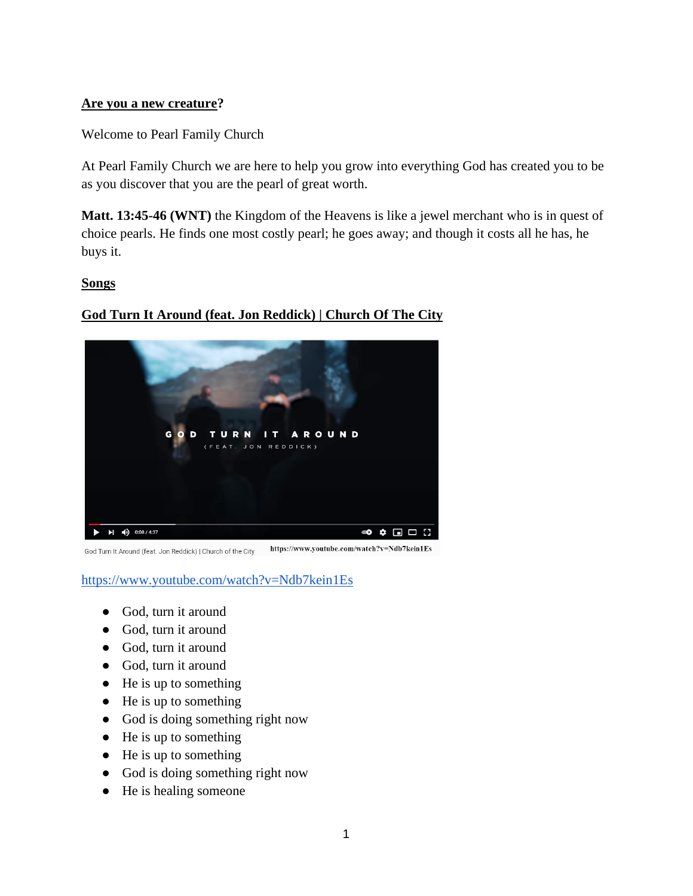### **Are you a new creature?**

Welcome to Pearl Family Church

At Pearl Family Church we are here to help you grow into everything God has created you to be as you discover that you are the pearl of great worth.

**Matt. 13:45-46 (WNT)** the Kingdom of the Heavens is like a jewel merchant who is in quest of choice pearls. He finds one most costly pearl; he goes away; and though it costs all he has, he buys it.

## **Songs**

# **[God Turn It Around \(feat. Jon Reddick\) | Church Of The City](https://www.youtube.com/watch?v=Ndb7kein1Es)**



 $\textbf{https://www.youtube.com/watch?v=Ndb7kein1Es}$ God Turn It Around (feat. Jon Reddick) | Church of the City

#### <https://www.youtube.com/watch?v=Ndb7kein1Es>

- God, turn it around
- God, turn it around
- God, turn it around
- God, turn it around
- He is up to something
- He is up to something
- God is doing something right now
- He is up to something
- He is up to something
- God is doing something right now
- He is healing someone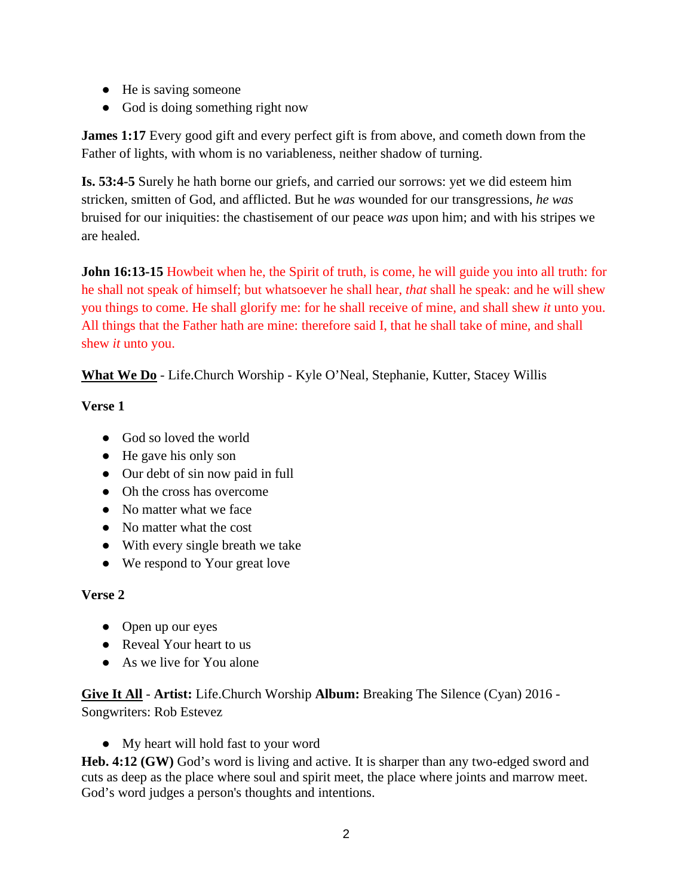- He is saving someone
- God is doing something right now

**James 1:17** Every good gift and every perfect gift is from above, and cometh down from the Father of lights, with whom is no variableness, neither shadow of turning.

**Is. 53:4-5** Surely he hath borne our griefs, and carried our sorrows: yet we did esteem him stricken, smitten of God, and afflicted. But he *was* wounded for our transgressions, *he was* bruised for our iniquities: the chastisement of our peace *was* upon him; and with his stripes we are healed.

**John 16:13-15** Howbeit when he, the Spirit of truth, is come, he will guide you into all truth: for he shall not speak of himself; but whatsoever he shall hear, *that* shall he speak: and he will shew you things to come. He shall glorify me: for he shall receive of mine, and shall shew *it* unto you. All things that the Father hath are mine: therefore said I, that he shall take of mine, and shall shew *it* unto you.

**What We Do** - Life.Church Worship - Kyle O'Neal, Stephanie, Kutter, Stacey Willis

## **Verse 1**

- God so loved the world
- He gave his only son
- Our debt of sin now paid in full
- Oh the cross has overcome
- No matter what we face
- No matter what the cost
- With every single breath we take
- We respond to Your great love

# **Verse 2**

- Open up our eyes
- Reveal Your heart to us
- As we live for You alone

**Give It All** - **Artist:** [Life.Church Worship](https://www.google.com/search?sxsrf=ALeKk01YN1tX0K9Dswvuz2AXX9xLDmRfLQ:1608959301127&q=Life.Church+Worship&stick=H4sIAAAAAAAAAOPgE-LVT9c3NEw2zDNOs6hMUoJwk8zji00rcwu0lLKTrfRzS4szk_WLUpPzi1Iy89Ljk3NKi0tSi6wSi0oyi0sWsQr7ZKal6jlnlBYlZyiE5xcVZ2QW7GBlBACStu7VXQAAAA&sa=X&ved=2ahUKEwjh3ee88OrtAhUPmlkKHcRXAYoQmxMoADAQegQIHhAC) **Album:** [Breaking The Silence \(Cyan\)](https://www.google.com/search?sxsrf=ALeKk01YN1tX0K9Dswvuz2AXX9xLDmRfLQ:1608959301127&q=Life.Church+Worship+Breaking+The+Silence+(Cyan)&stick=H4sIAAAAAAAAAOPgE-LVT9c3NEw2zDNOs6hMUoJyi6qyTcyyK7XUs5Ot9HNLizOT9YtSk_OLUjLz0uOTc0qLS1KLrNIyi4pLFBJzkkpzF7Hq-2Smpeo5Z5QWJWcohOcXFWdkFig4FaUmZgO1KIRkpCoEZ-ak5iWnKmg4Vybmae5gZQQA97S8X34AAAA&sa=X&ved=2ahUKEwjh3ee88OrtAhUPmlkKHcRXAYoQmxMoADARegQIHxAC) 2016 - Songwriters: Rob Estevez

● My heart will hold fast to your word

**Heb. 4:12 (GW)** God's word is living and active. It is sharper than any two-edged sword and cuts as deep as the place where soul and spirit meet, the place where joints and marrow meet. God's word judges a person's thoughts and intentions.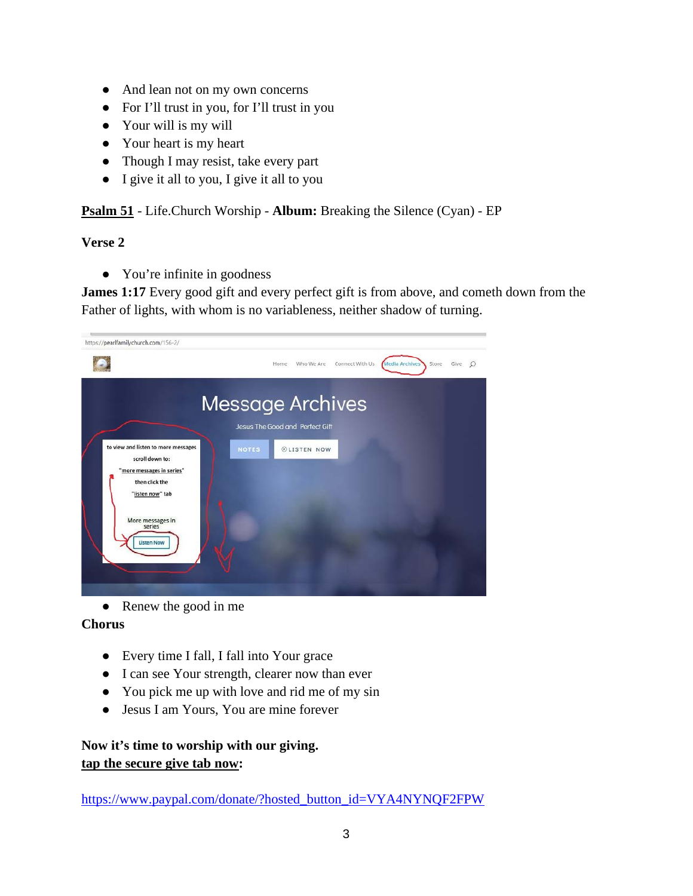- And lean not on my own concerns
- For I'll trust in you, for I'll trust in you
- Your will is my will
- Your heart is my heart
- Though I may resist, take every part
- I give it all to you, I give it all to you

**Psalm 51** - [Life.Church Worship](https://genius.com/artists/Lifechurch-worship) - **Album:** [Breaking the Silence \(Cyan\) -](https://genius.com/albums/Lifechurch-worship/Breaking-the-silence-cyan-ep) EP

**Verse 2**

• You're infinite in goodness

**James 1:17** Every good gift and every perfect gift is from above, and cometh down from the Father of lights, with whom is no variableness, neither shadow of turning.



• Renew the good in me

**Chorus**

- Every time I fall, I fall into Your grace
- I can see Your strength, clearer now than ever
- You pick me up with love and rid me of my sin
- Jesus I am Yours, You are mine forever

## **Now it's time to worship with our giving. tap the secure give tab now:**

[https://www.paypal.com/donate/?hosted\\_button\\_id=VYA4NYNQF2FPW](https://www.paypal.com/donate/?hosted_button_id=VYA4NYNQF2FPW)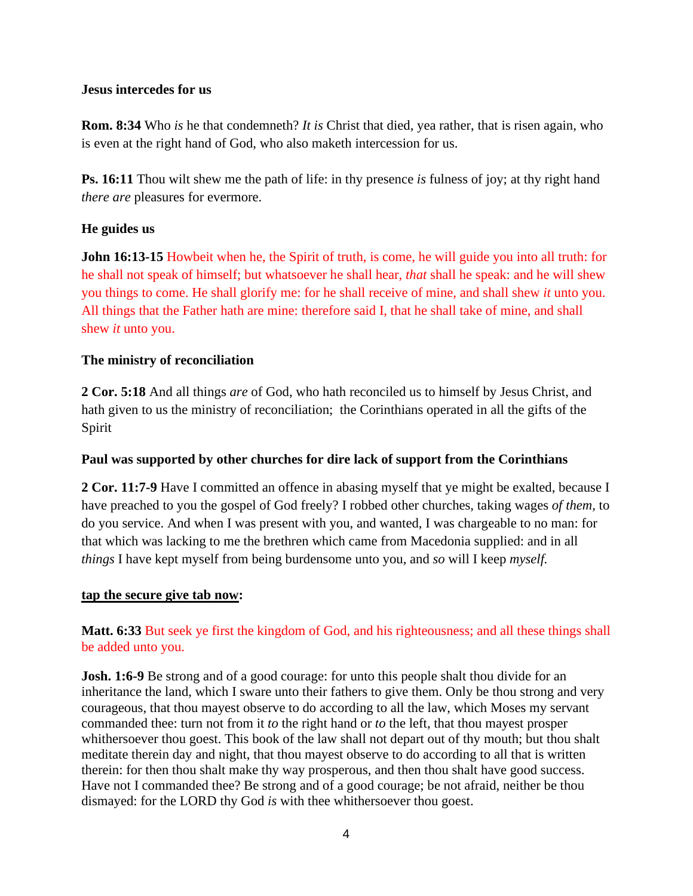#### **Jesus intercedes for us**

**Rom. 8:34** Who *is* he that condemneth? *It is* Christ that died, yea rather, that is risen again, who is even at the right hand of God, who also maketh intercession for us.

**Ps. 16:11** Thou wilt shew me the path of life: in thy presence *is* fulness of joy; at thy right hand *there are* pleasures for evermore.

## **He guides us**

**John 16:13-15** Howbeit when he, the Spirit of truth, is come, he will guide you into all truth: for he shall not speak of himself; but whatsoever he shall hear, *that* shall he speak: and he will shew you things to come. He shall glorify me: for he shall receive of mine, and shall shew *it* unto you. All things that the Father hath are mine: therefore said I, that he shall take of mine, and shall shew *it* unto you.

## **The ministry of reconciliation**

**2 Cor. 5:18** And all things *are* of God, who hath reconciled us to himself by Jesus Christ, and hath given to us the ministry of reconciliation; the Corinthians operated in all the gifts of the Spirit

## **Paul was supported by other churches for dire lack of support from the Corinthians**

**2 Cor. 11:7-9** Have I committed an offence in abasing myself that ye might be exalted, because I have preached to you the gospel of God freely? I robbed other churches, taking wages *of them,* to do you service. And when I was present with you, and wanted, I was chargeable to no man: for that which was lacking to me the brethren which came from Macedonia supplied: and in all *things* I have kept myself from being burdensome unto you, and *so* will I keep *myself.*

#### **tap the secure give tab now:**

## **Matt. 6:33** But seek ye first the kingdom of God, and his righteousness; and all these things shall be added unto you.

**Josh. 1:6-9** Be strong and of a good courage: for unto this people shalt thou divide for an inheritance the land, which I sware unto their fathers to give them. Only be thou strong and very courageous, that thou mayest observe to do according to all the law, which Moses my servant commanded thee: turn not from it *to* the right hand or *to* the left, that thou mayest prosper whithersoever thou goest. This book of the law shall not depart out of thy mouth; but thou shalt meditate therein day and night, that thou mayest observe to do according to all that is written therein: for then thou shalt make thy way prosperous, and then thou shalt have good success. Have not I commanded thee? Be strong and of a good courage; be not afraid, neither be thou dismayed: for the LORD thy God *is* with thee whithersoever thou goest.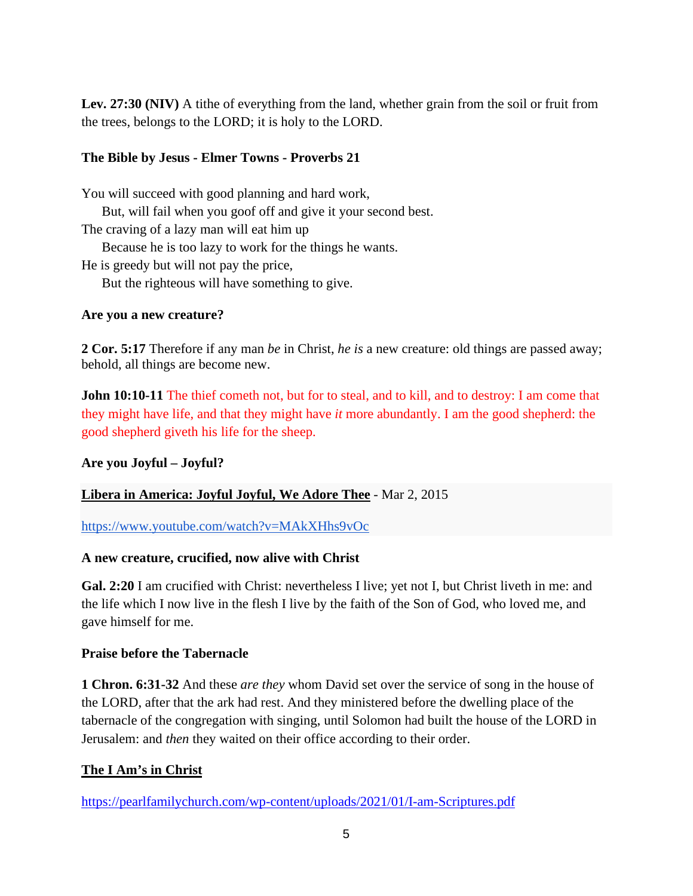Lev. 27:30 (NIV) A tithe of everything from the land, whether grain from the soil or fruit from the trees, belongs to the LORD; it is holy to the LORD.

## **The Bible by Jesus - Elmer Towns - Proverbs 21**

You will succeed with good planning and hard work, But, will fail when you goof off and give it your second best. The craving of a lazy man will eat him up Because he is too lazy to work for the things he wants.

He is greedy but will not pay the price,

But the righteous will have something to give.

## **Are you a new creature?**

**2 Cor. 5:17** Therefore if any man *be* in Christ, *he is* a new creature: old things are passed away; behold, all things are become new.

John 10:10-11 The thief cometh not, but for to steal, and to kill, and to destroy: I am come that they might have life, and that they might have *it* more abundantly. I am the good shepherd: the good shepherd giveth his life for the sheep.

## **Are you Joyful – Joyful?**

## **Libera in America: Joyful Joyful, We Adore Thee** - Mar 2, 2015

## <https://www.youtube.com/watch?v=MAkXHhs9vOc>

## **A new creature, crucified, now alive with Christ**

**Gal. 2:20** I am crucified with Christ: nevertheless I live; yet not I, but Christ liveth in me: and the life which I now live in the flesh I live by the faith of the Son of God, who loved me, and gave himself for me.

## **Praise before the Tabernacle**

**1 Chron. 6:31-32** And these *are they* whom David set over the service of song in the house of the LORD, after that the ark had rest. And they ministered before the dwelling place of the tabernacle of the congregation with singing, until Solomon had built the house of the LORD in Jerusalem: and *then* they waited on their office according to their order.

## **The I Am's in Christ**

<https://pearlfamilychurch.com/wp-content/uploads/2021/01/I-am-Scriptures.pdf>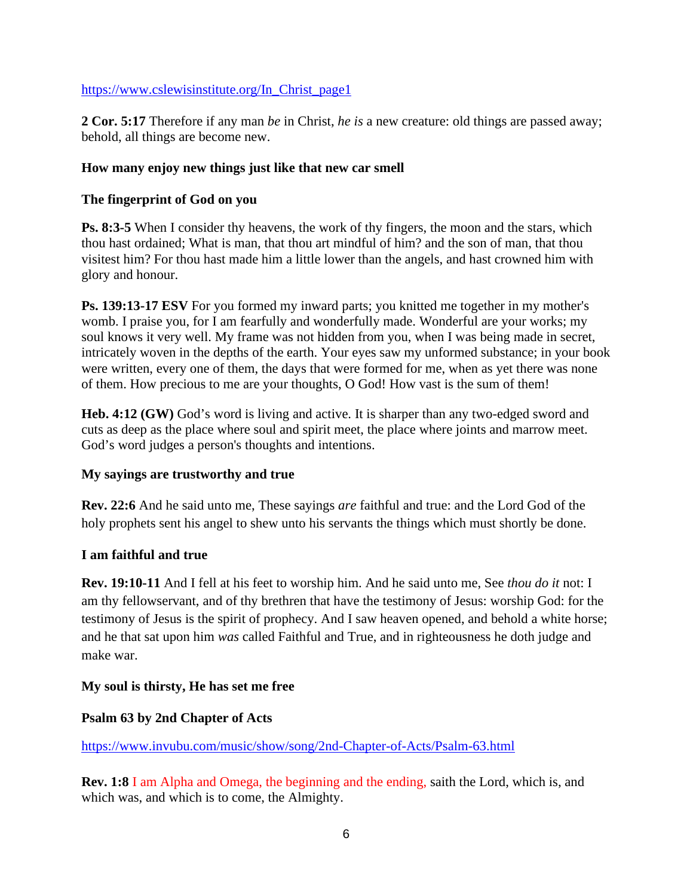#### [https://www.cslewisinstitute.org/In\\_Christ\\_page1](https://www.cslewisinstitute.org/In_Christ_page1)

**2 Cor. 5:17** Therefore if any man *be* in Christ, *he is* a new creature: old things are passed away; behold, all things are become new.

### **How many enjoy new things just like that new car smell**

#### **The fingerprint of God on you**

**Ps. 8:3-5** When I consider thy heavens, the work of thy fingers, the moon and the stars, which thou hast ordained; What is man, that thou art mindful of him? and the son of man, that thou visitest him? For thou hast made him a little lower than the angels, and hast crowned him with glory and honour.

**Ps. 139:13-17 ESV** For you formed my inward parts; you knitted me together in my mother's womb. I praise you, for I am fearfully and wonderfully made. Wonderful are your works; my soul knows it very well. My frame was not hidden from you, when I was being made in secret, intricately woven in the depths of the earth. Your eyes saw my unformed substance; in your book were written, every one of them, the days that were formed for me, when as yet there was none of them. How precious to me are your thoughts, O God! How vast is the sum of them!

**Heb. 4:12 (GW)** God's word is living and active. It is sharper than any two-edged sword and cuts as deep as the place where soul and spirit meet, the place where joints and marrow meet. God's word judges a person's thoughts and intentions.

#### **My sayings are trustworthy and true**

**Rev. 22:6** And he said unto me, These sayings *are* faithful and true: and the Lord God of the holy prophets sent his angel to shew unto his servants the things which must shortly be done.

## **I am faithful and true**

**Rev. 19:10-11** And I fell at his feet to worship him. And he said unto me, See *thou do it* not: I am thy fellowservant, and of thy brethren that have the testimony of Jesus: worship God: for the testimony of Jesus is the spirit of prophecy. And I saw heaven opened, and behold a white horse; and he that sat upon him *was* called Faithful and True, and in righteousness he doth judge and make war.

## **My soul is thirsty, He has set me free**

## **Psalm 63 by 2nd Chapter of Acts**

<https://www.invubu.com/music/show/song/2nd-Chapter-of-Acts/Psalm-63.html>

**Rev. 1:8** I am Alpha and Omega, the beginning and the ending, saith the Lord, which is, and which was, and which is to come, the Almighty.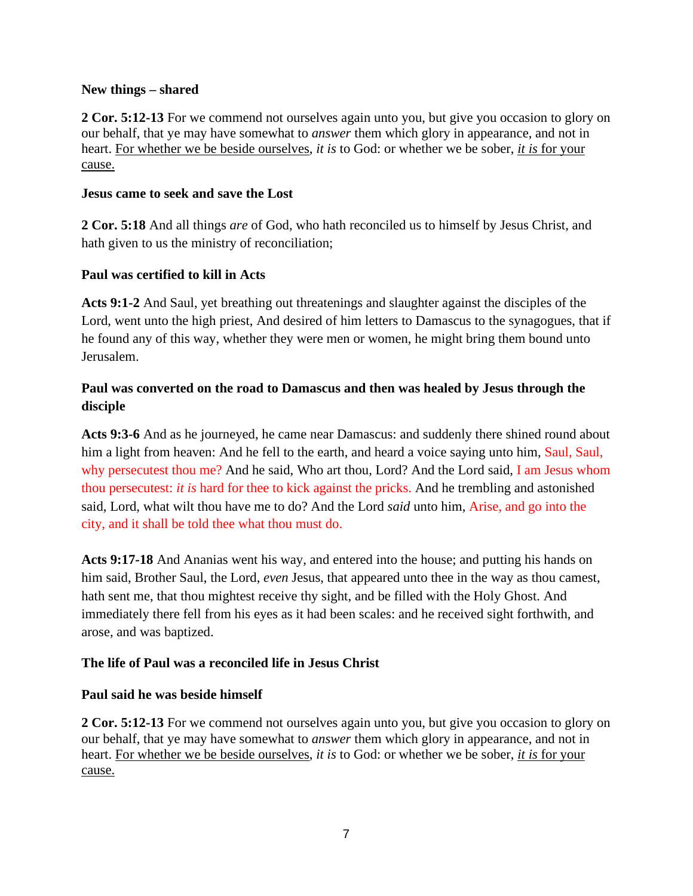#### **New things – shared**

**2 Cor. 5:12-13** For we commend not ourselves again unto you, but give you occasion to glory on our behalf, that ye may have somewhat to *answer* them which glory in appearance, and not in heart. For whether we be beside ourselves, *it is* to God: or whether we be sober, *it is* for your cause.

#### **Jesus came to seek and save the Lost**

**2 Cor. 5:18** And all things *are* of God, who hath reconciled us to himself by Jesus Christ, and hath given to us the ministry of reconciliation;

## **Paul was certified to kill in Acts**

**Acts 9:1-2** And Saul, yet breathing out threatenings and slaughter against the disciples of the Lord, went unto the high priest, And desired of him letters to Damascus to the synagogues, that if he found any of this way, whether they were men or women, he might bring them bound unto Jerusalem.

## **Paul was converted on the road to Damascus and then was healed by Jesus through the disciple**

**Acts 9:3-6** And as he journeyed, he came near Damascus: and suddenly there shined round about him a light from heaven: And he fell to the earth, and heard a voice saying unto him, Saul, Saul, why persecutest thou me? And he said, Who art thou, Lord? And the Lord said, I am Jesus whom thou persecutest: *it is* hard for thee to kick against the pricks. And he trembling and astonished said, Lord, what wilt thou have me to do? And the Lord *said* unto him, Arise, and go into the city, and it shall be told thee what thou must do.

**Acts 9:17-18** And Ananias went his way, and entered into the house; and putting his hands on him said, Brother Saul, the Lord, *even* Jesus, that appeared unto thee in the way as thou camest, hath sent me, that thou mightest receive thy sight, and be filled with the Holy Ghost. And immediately there fell from his eyes as it had been scales: and he received sight forthwith, and arose, and was baptized.

## **The life of Paul was a reconciled life in Jesus Christ**

## **Paul said he was beside himself**

**2 Cor. 5:12-13** For we commend not ourselves again unto you, but give you occasion to glory on our behalf, that ye may have somewhat to *answer* them which glory in appearance, and not in heart. For whether we be beside ourselves, *it is* to God: or whether we be sober, *it is* for your cause.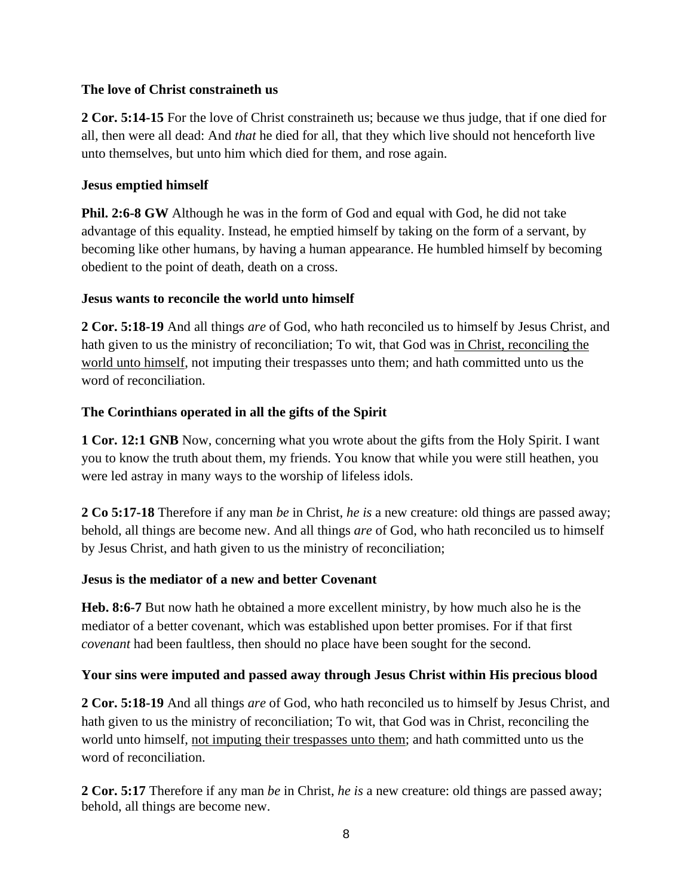### **The love of Christ constraineth us**

**2 Cor. 5:14-15** For the love of Christ constraineth us; because we thus judge, that if one died for all, then were all dead: And *that* he died for all, that they which live should not henceforth live unto themselves, but unto him which died for them, and rose again.

### **Jesus emptied himself**

**Phil. 2:6-8 GW** Although he was in the form of God and equal with God, he did not take advantage of this equality. Instead, he emptied himself by taking on the form of a servant, by becoming like other humans, by having a human appearance. He humbled himself by becoming obedient to the point of death, death on a cross.

#### **Jesus wants to reconcile the world unto himself**

**2 Cor. 5:18-19** And all things *are* of God, who hath reconciled us to himself by Jesus Christ, and hath given to us the ministry of reconciliation; To wit, that God was in Christ, reconciling the world unto himself, not imputing their trespasses unto them; and hath committed unto us the word of reconciliation.

#### **The Corinthians operated in all the gifts of the Spirit**

**1 Cor. 12:1 GNB** Now, concerning what you wrote about the gifts from the Holy Spirit. I want you to know the truth about them, my friends. You know that while you were still heathen, you were led astray in many ways to the worship of lifeless idols.

**2 Co 5:17-18** Therefore if any man *be* in Christ, *he is* a new creature: old things are passed away; behold, all things are become new. And all things *are* of God, who hath reconciled us to himself by Jesus Christ, and hath given to us the ministry of reconciliation;

#### **Jesus is the mediator of a new and better Covenant**

**Heb. 8:6-7** But now hath he obtained a more excellent ministry, by how much also he is the mediator of a better covenant, which was established upon better promises. For if that first *covenant* had been faultless, then should no place have been sought for the second.

#### **Your sins were imputed and passed away through Jesus Christ within His precious blood**

**2 Cor. 5:18-19** And all things *are* of God, who hath reconciled us to himself by Jesus Christ, and hath given to us the ministry of reconciliation; To wit, that God was in Christ, reconciling the world unto himself, not imputing their trespasses unto them; and hath committed unto us the word of reconciliation.

**2 Cor. 5:17** Therefore if any man *be* in Christ, *he is* a new creature: old things are passed away; behold, all things are become new.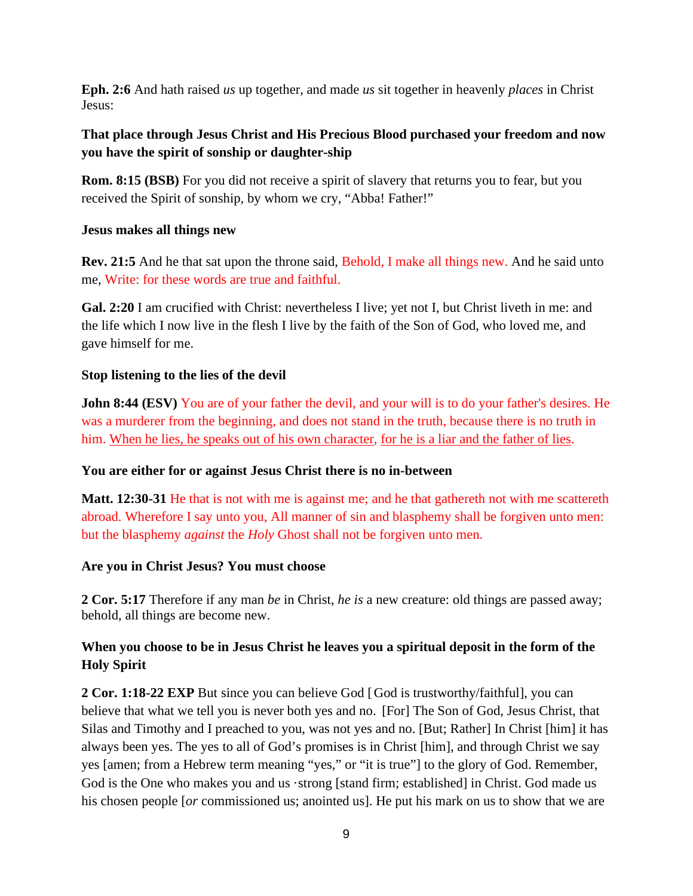**Eph. 2:6** And hath raised *us* up together, and made *us* sit together in heavenly *places* in Christ Jesus:

## **That place through Jesus Christ and His Precious Blood purchased your freedom and now you have the spirit of sonship or daughter-ship**

**Rom. 8:15 (BSB)** For you did not receive a spirit of slavery that returns you to fear, but you received the Spirit of sonship, by whom we cry, "Abba! Father!"

#### **Jesus makes all things new**

**Rev. 21:5** And he that sat upon the throne said, Behold, I make all things new. And he said unto me, Write: for these words are true and faithful.

**Gal. 2:20** I am crucified with Christ: nevertheless I live; yet not I, but Christ liveth in me: and the life which I now live in the flesh I live by the faith of the Son of God, who loved me, and gave himself for me.

#### **Stop listening to the lies of the devil**

**John 8:44 (ESV)** You are of your father the devil, and your will is to do your father's desires. He was a murderer from the beginning, and does not stand in the truth, because there is no truth in him. When he lies, he speaks out of his own character, for he is a liar and the father of lies.

## **You are either for or against Jesus Christ there is no in-between**

**Matt. 12:30-31** He that is not with me is against me; and he that gathereth not with me scattereth abroad. Wherefore I say unto you, All manner of sin and blasphemy shall be forgiven unto men: but the blasphemy *against* the *Holy* Ghost shall not be forgiven unto men.

## **Are you in Christ Jesus? You must choose**

**2 Cor. 5:17** Therefore if any man *be* in Christ, *he is* a new creature: old things are passed away; behold, all things are become new.

## **When you choose to be in Jesus Christ he leaves you a spiritual deposit in the form of the Holy Spirit**

**2 Cor. 1:18-22 EXP** But since you can believe God [God is trustworthy/faithful], you can believe that what we tell you is never both yes and no. [For] The Son of God, Jesus Christ, that Silas and Timothy and I preached to you, was not yes and no. [But; Rather] In Christ [him] it has always been yes. The yes to all of God's promises is in Christ [him], and through Christ we say yes [amen; from a Hebrew term meaning "yes," or "it is true"] to the glory of God. Remember, God is the One who makes you and us · strong [stand firm; established] in Christ. God made us his chosen people [*or* commissioned us; anointed us]. He put his mark on us to show that we are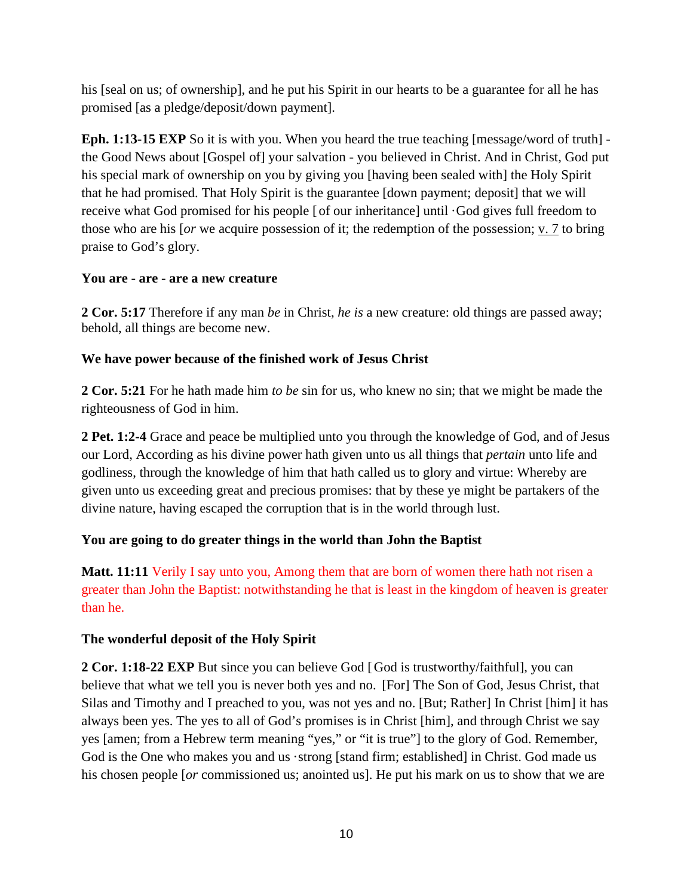his [seal on us; of ownership], and he put his Spirit in our hearts to be a guarantee for all he has promised [as a pledge/deposit/down payment].

**Eph. 1:13-15 EXP** So it is with you. When you heard the true teaching [message/word of truth] the Good News about [Gospel of] your salvation - you believed in Christ. And in Christ, God put his special mark of ownership on you by giving you [having been sealed with] the Holy Spirit that he had promised. That Holy Spirit is the guarantee [down payment; deposit] that we will receive what God promised for his people [ of our inheritance] until ·God gives full freedom to those who are his [*or* we acquire possession of it; the redemption of the possession; [v. 7](https://www.biblegateway.com/passage/?search=Eph.1.7&version=EXB) to bring praise to God's glory.

## **You are - are - are a new creature**

**2 Cor. 5:17** Therefore if any man *be* in Christ, *he is* a new creature: old things are passed away; behold, all things are become new.

## **We have power because of the finished work of Jesus Christ**

**2 Cor. 5:21** For he hath made him *to be* sin for us, who knew no sin; that we might be made the righteousness of God in him.

**2 Pet. 1:2-4** Grace and peace be multiplied unto you through the knowledge of God, and of Jesus our Lord, According as his divine power hath given unto us all things that *pertain* unto life and godliness, through the knowledge of him that hath called us to glory and virtue: Whereby are given unto us exceeding great and precious promises: that by these ye might be partakers of the divine nature, having escaped the corruption that is in the world through lust.

## **You are going to do greater things in the world than John the Baptist**

**Matt. 11:11** Verily I say unto you, Among them that are born of women there hath not risen a greater than John the Baptist: notwithstanding he that is least in the kingdom of heaven is greater than he.

## **The wonderful deposit of the Holy Spirit**

**2 Cor. 1:18-22 EXP** But since you can believe God [God is trustworthy/faithful], you can believe that what we tell you is never both yes and no. [For] The Son of God, Jesus Christ, that Silas and Timothy and I preached to you, was not yes and no. [But; Rather] In Christ [him] it has always been yes. The yes to all of God's promises is in Christ [him], and through Christ we say yes [amen; from a Hebrew term meaning "yes," or "it is true"] to the glory of God. Remember, God is the One who makes you and us · strong [stand firm; established] in Christ. God made us his chosen people [*or* commissioned us; anointed us]. He put his mark on us to show that we are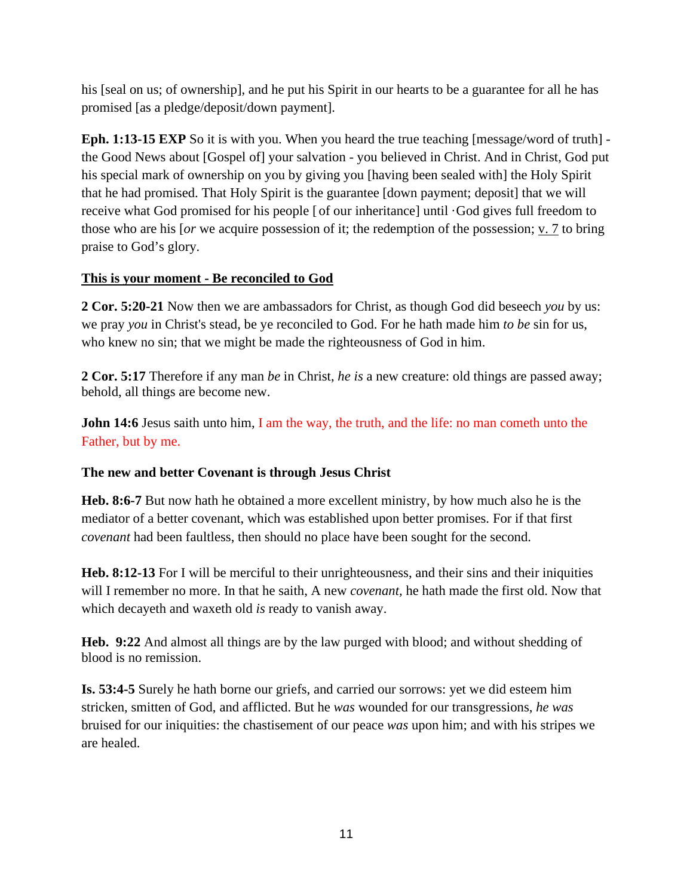his [seal on us; of ownership], and he put his Spirit in our hearts to be a guarantee for all he has promised [as a pledge/deposit/down payment].

**Eph. 1:13-15 EXP** So it is with you. When you heard the true teaching [message/word of truth] the Good News about [Gospel of] your salvation - you believed in Christ. And in Christ, God put his special mark of ownership on you by giving you [having been sealed with] the Holy Spirit that he had promised. That Holy Spirit is the guarantee [down payment; deposit] that we will receive what God promised for his people [ of our inheritance] until ·God gives full freedom to those who are his [*or* we acquire possession of it; the redemption of the possession; [v. 7](https://www.biblegateway.com/passage/?search=Eph.1.7&version=EXB) to bring praise to God's glory.

## **This is your moment - Be reconciled to God**

**2 Cor. 5:20-21** Now then we are ambassadors for Christ, as though God did beseech *you* by us: we pray *you* in Christ's stead, be ye reconciled to God. For he hath made him *to be* sin for us, who knew no sin; that we might be made the righteousness of God in him.

**2 Cor. 5:17** Therefore if any man *be* in Christ, *he is* a new creature: old things are passed away; behold, all things are become new.

**John 14:6** Jesus saith unto him, I am the way, the truth, and the life: no man cometh unto the Father, but by me.

## **The new and better Covenant is through Jesus Christ**

**Heb. 8:6-7** But now hath he obtained a more excellent ministry, by how much also he is the mediator of a better covenant, which was established upon better promises. For if that first *covenant* had been faultless, then should no place have been sought for the second.

**Heb. 8:12-13** For I will be merciful to their unrighteousness, and their sins and their iniquities will I remember no more. In that he saith, A new *covenant,* he hath made the first old. Now that which decayeth and waxeth old *is* ready to vanish away.

**Heb. 9:22** And almost all things are by the law purged with blood; and without shedding of blood is no remission.

**Is. 53:4-5** Surely he hath borne our griefs, and carried our sorrows: yet we did esteem him stricken, smitten of God, and afflicted. But he *was* wounded for our transgressions, *he was* bruised for our iniquities: the chastisement of our peace *was* upon him; and with his stripes we are healed.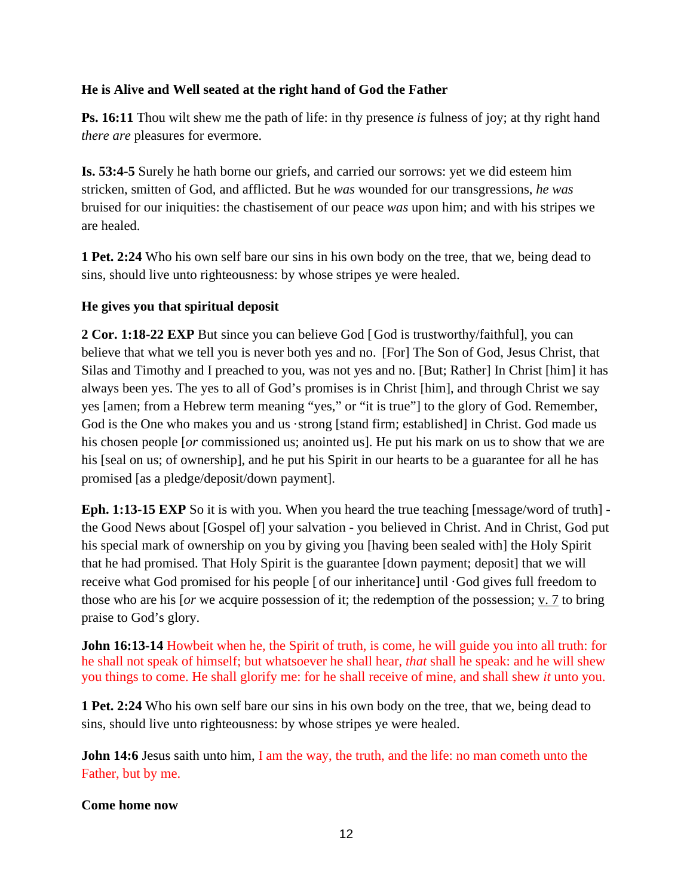## **He is Alive and Well seated at the right hand of God the Father**

**Ps. 16:11** Thou wilt shew me the path of life: in thy presence *is* fulness of joy; at thy right hand *there are* pleasures for evermore.

**Is. 53:4-5** Surely he hath borne our griefs, and carried our sorrows: yet we did esteem him stricken, smitten of God, and afflicted. But he *was* wounded for our transgressions, *he was* bruised for our iniquities: the chastisement of our peace *was* upon him; and with his stripes we are healed.

**1 Pet. 2:24** Who his own self bare our sins in his own body on the tree, that we, being dead to sins, should live unto righteousness: by whose stripes ye were healed.

## **He gives you that spiritual deposit**

**2 Cor. 1:18-22 EXP** But since you can believe God [God is trustworthy/faithful], you can believe that what we tell you is never both yes and no. [For] The Son of God, Jesus Christ, that Silas and Timothy and I preached to you, was not yes and no. [But; Rather] In Christ [him] it has always been yes. The yes to all of God's promises is in Christ [him], and through Christ we say yes [amen; from a Hebrew term meaning "yes," or "it is true"] to the glory of God. Remember, God is the One who makes you and us · strong [stand firm; established] in Christ. God made us his chosen people [*or* commissioned us; anointed us]. He put his mark on us to show that we are his [seal on us; of ownership], and he put his Spirit in our hearts to be a guarantee for all he has promised [as a pledge/deposit/down payment].

**Eph. 1:13-15 EXP** So it is with you. When you heard the true teaching [message/word of truth] the Good News about [Gospel of] your salvation - you believed in Christ. And in Christ, God put his special mark of ownership on you by giving you [having been sealed with] the Holy Spirit that he had promised. That Holy Spirit is the guarantee [down payment; deposit] that we will receive what God promised for his people [ of our inheritance] until ·God gives full freedom to those who are his [*or* we acquire possession of it; the redemption of the possession; [v. 7](https://www.biblegateway.com/passage/?search=Eph.1.7&version=EXB) to bring praise to God's glory.

**John 16:13-14** Howbeit when he, the Spirit of truth, is come, he will guide you into all truth: for he shall not speak of himself; but whatsoever he shall hear, *that* shall he speak: and he will shew you things to come. He shall glorify me: for he shall receive of mine, and shall shew *it* unto you.

**1 Pet. 2:24** Who his own self bare our sins in his own body on the tree, that we, being dead to sins, should live unto righteousness: by whose stripes ye were healed.

**John 14:6** Jesus saith unto him, I am the way, the truth, and the life: no man cometh unto the Father, but by me.

## **Come home now**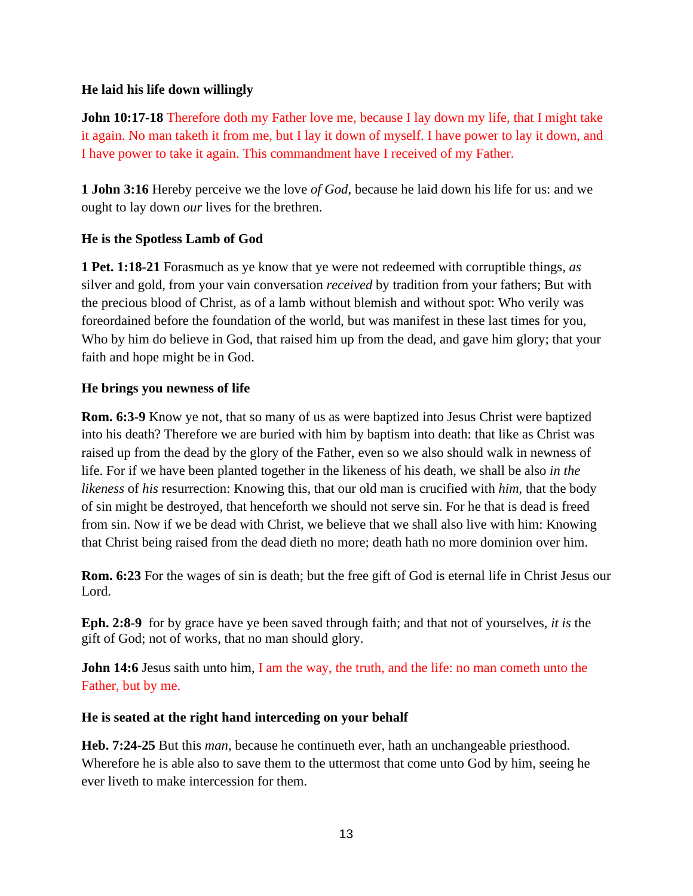## **He laid his life down willingly**

**John 10:17-18** Therefore doth my Father love me, because I lay down my life, that I might take it again. No man taketh it from me, but I lay it down of myself. I have power to lay it down, and I have power to take it again. This commandment have I received of my Father.

**1 John 3:16** Hereby perceive we the love *of God,* because he laid down his life for us: and we ought to lay down *our* lives for the brethren.

## **He is the Spotless Lamb of God**

**1 Pet. 1:18-21** Forasmuch as ye know that ye were not redeemed with corruptible things, *as* silver and gold, from your vain conversation *received* by tradition from your fathers; But with the precious blood of Christ, as of a lamb without blemish and without spot: Who verily was foreordained before the foundation of the world, but was manifest in these last times for you, Who by him do believe in God, that raised him up from the dead, and gave him glory; that your faith and hope might be in God.

#### **He brings you newness of life**

**Rom. 6:3-9** Know ye not, that so many of us as were baptized into Jesus Christ were baptized into his death? Therefore we are buried with him by baptism into death: that like as Christ was raised up from the dead by the glory of the Father, even so we also should walk in newness of life. For if we have been planted together in the likeness of his death, we shall be also *in the likeness* of *his* resurrection: Knowing this, that our old man is crucified with *him,* that the body of sin might be destroyed, that henceforth we should not serve sin. For he that is dead is freed from sin. Now if we be dead with Christ, we believe that we shall also live with him: Knowing that Christ being raised from the dead dieth no more; death hath no more dominion over him.

**Rom. 6:23** For the wages of sin is death; but the free gift of God is eternal life in Christ Jesus our Lord.

**Eph. 2:8-9** for by grace have ye been saved through faith; and that not of yourselves, *it is* the gift of God; not of works, that no man should glory.

**John 14:6** Jesus saith unto him, I am the way, the truth, and the life: no man cometh unto the Father, but by me.

#### **He is seated at the right hand interceding on your behalf**

**Heb. 7:24-25** But this *man,* because he continueth ever, hath an unchangeable priesthood. Wherefore he is able also to save them to the uttermost that come unto God by him, seeing he ever liveth to make intercession for them.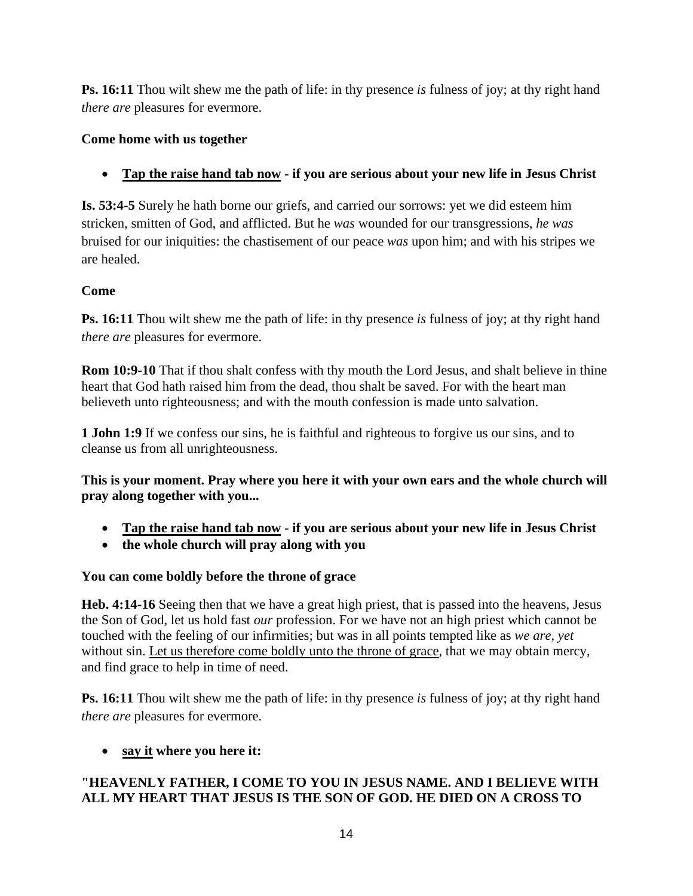**Ps. 16:11** Thou wilt shew me the path of life: in thy presence *is* fulness of joy; at thy right hand *there are* pleasures for evermore.

## **Come home with us together**

• **Tap the raise hand tab now - if you are serious about your new life in Jesus Christ**

**Is. 53:4-5** Surely he hath borne our griefs, and carried our sorrows: yet we did esteem him stricken, smitten of God, and afflicted. But he *was* wounded for our transgressions, *he was* bruised for our iniquities: the chastisement of our peace *was* upon him; and with his stripes we are healed.

# **Come**

**Ps. 16:11** Thou wilt shew me the path of life: in thy presence *is* fulness of joy; at thy right hand *there are* pleasures for evermore.

**Rom 10:9-10** That if thou shalt confess with thy mouth the Lord Jesus, and shalt believe in thine heart that God hath raised him from the dead, thou shalt be saved. For with the heart man believeth unto righteousness; and with the mouth confession is made unto salvation.

**1 John 1:9** If we confess our sins, he is faithful and righteous to forgive us our sins, and to cleanse us from all unrighteousness.

**This is your moment. Pray where you here it with your own ears and the whole church will pray along together with you...**

- **Tap the raise hand tab now - if you are serious about your new life in Jesus Christ**
- **the whole church will pray along with you**

# **You can come boldly before the throne of grace**

**Heb. 4:14-16** Seeing then that we have a great high priest, that is passed into the heavens, Jesus the Son of God, let us hold fast *our* profession. For we have not an high priest which cannot be touched with the feeling of our infirmities; but was in all points tempted like as *we are, yet* without sin. Let us therefore come boldly unto the throne of grace, that we may obtain mercy, and find grace to help in time of need.

**Ps. 16:11** Thou wilt shew me the path of life: in thy presence *is* fulness of joy; at thy right hand *there are* pleasures for evermore.

• **say it where you here it:**

# **"HEAVENLY FATHER, I COME TO YOU IN JESUS NAME. AND I BELIEVE WITH ALL MY HEART THAT JESUS IS THE SON OF GOD. HE DIED ON A CROSS TO**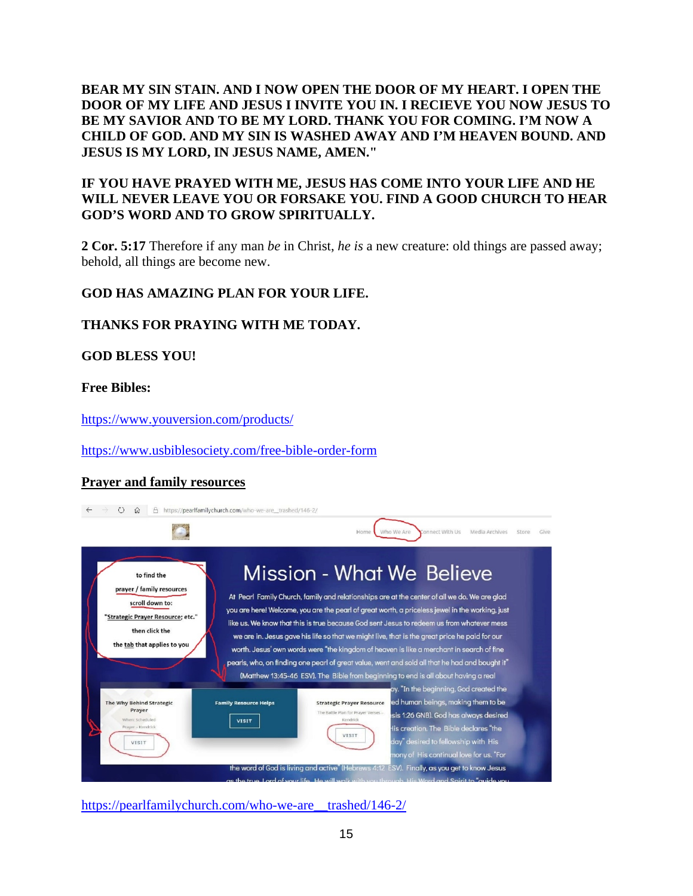**BEAR MY SIN STAIN. AND I NOW OPEN THE DOOR OF MY HEART. I OPEN THE DOOR OF MY LIFE AND JESUS I INVITE YOU IN. I RECIEVE YOU NOW JESUS TO BE MY SAVIOR AND TO BE MY LORD. THANK YOU FOR COMING. I'M NOW A CHILD OF GOD. AND MY SIN IS WASHED AWAY AND I'M HEAVEN BOUND. AND JESUS IS MY LORD, IN JESUS NAME, AMEN."**

## **IF YOU HAVE PRAYED WITH ME, JESUS HAS COME INTO YOUR LIFE AND HE WILL NEVER LEAVE YOU OR FORSAKE YOU. FIND A GOOD CHURCH TO HEAR GOD'S WORD AND TO GROW SPIRITUALLY.**

**2 Cor. 5:17** Therefore if any man *be* in Christ, *he is* a new creature: old things are passed away; behold, all things are become new.

#### **GOD HAS AMAZING PLAN FOR YOUR LIFE.**

#### **THANKS FOR PRAYING WITH ME TODAY.**

#### **GOD BLESS YOU!**

**Free Bibles:**

<https://www.youversion.com/products/>

<https://www.usbiblesociety.com/free-bible-order-form>

## **Prayer and family resources**



[https://pearlfamilychurch.com/who-we-are\\_\\_trashed/146-2/](https://pearlfamilychurch.com/who-we-are__trashed/146-2/)